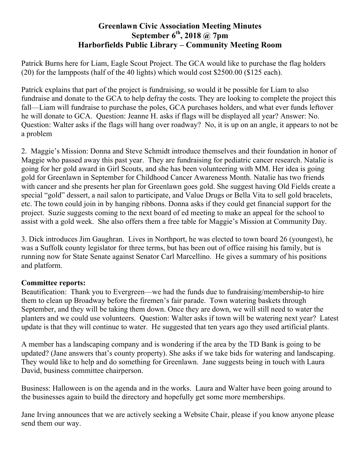## **Greenlawn Civic Association Meeting Minutes September 6th, 2018 @ 7pm Harborfields Public Library – Community Meeting Room**

Patrick Burns here for Liam, Eagle Scout Project. The GCA would like to purchase the flag holders (20) for the lampposts (half of the 40 lights) which would cost \$2500.00 (\$125 each).

Patrick explains that part of the project is fundraising, so would it be possible for Liam to also fundraise and donate to the GCA to help defray the costs. They are looking to complete the project this fall—Liam will fundraise to purchase the poles, GCA purchases holders, and what ever funds leftover he will donate to GCA. Question: Jeanne H. asks if flags will be displayed all year? Answer: No. Question: Walter asks if the flags will hang over roadway? No, it is up on an angle, it appears to not be a problem

2. Maggie's Mission: Donna and Steve Schmidt introduce themselves and their foundation in honor of Maggie who passed away this past year. They are fundraising for pediatric cancer research. Natalie is going for her gold award in Girl Scouts, and she has been volunteering with MM. Her idea is going gold for Greenlawn in September for Childhood Cancer Awareness Month. Natalie has two friends with cancer and she presents her plan for Greenlawn goes gold. She suggest having Old Fields create a special "gold" dessert, a nail salon to participate, and Value Drugs or Bella Vita to sell gold bracelets, etc. The town could join in by hanging ribbons. Donna asks if they could get financial support for the project. Suzie suggests coming to the next board of ed meeting to make an appeal for the school to assist with a gold week. She also offers them a free table for Maggie's Mission at Community Day.

3. Dick introduces Jim Gaughran. Lives in Northport, he was elected to town board 26 (youngest), he was a Suffolk county legislator for three terms, but has been out of office raising his family, but is running now for State Senate against Senator Carl Marcellino. He gives a summary of his positions and platform.

## **Committee reports:**

Beautification: Thank you to Evergreen—we had the funds due to fundraising/membership-to hire them to clean up Broadway before the firemen's fair parade. Town watering baskets through September, and they will be taking them down. Once they are down, we will still need to water the planters and we could use volunteers. Question: Walter asks if town will be watering next year? Latest update is that they will continue to water. He suggested that ten years ago they used artificial plants.

A member has a landscaping company and is wondering if the area by the TD Bank is going to be updated? (Jane answers that's county property). She asks if we take bids for watering and landscaping. They would like to help and do something for Greenlawn. Jane suggests being in touch with Laura David, business committee chairperson.

Business: Halloween is on the agenda and in the works. Laura and Walter have been going around to the businesses again to build the directory and hopefully get some more memberships.

Jane Irving announces that we are actively seeking a Website Chair, please if you know anyone please send them our way.